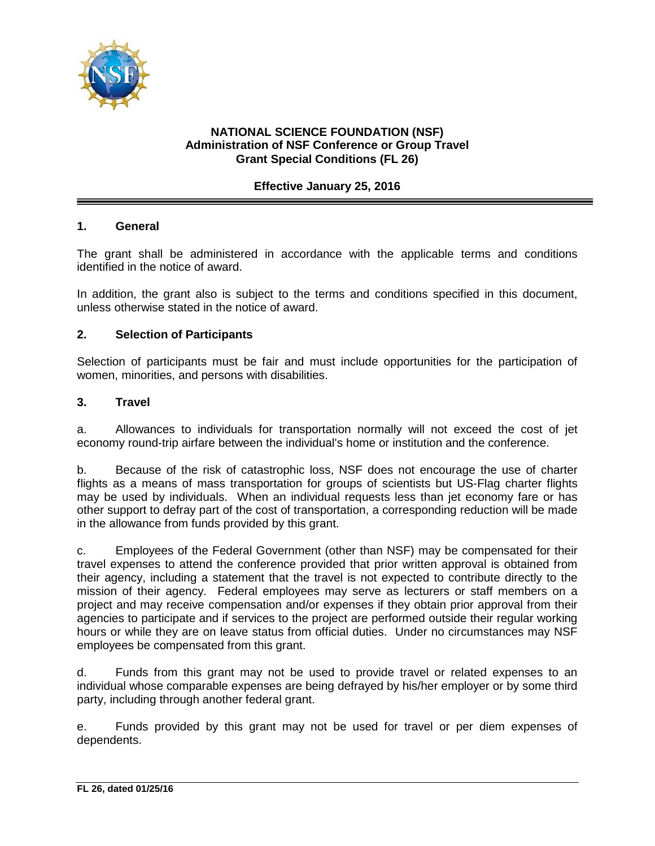

# **NATIONAL SCIENCE FOUNDATION (NSF) Administration of NSF Conference or Group Travel Grant Special Conditions (FL 26)**

# **Effective January 25, 2016**

### **1. General**

The grant shall be administered in accordance with the applicable terms and conditions identified in the notice of award.

In addition, the grant also is subject to the terms and conditions specified in this document, unless otherwise stated in the notice of award.

### **2. Selection of Participants**

Selection of participants must be fair and must include opportunities for the participation of women, minorities, and persons with disabilities.

#### **3. Travel**

a. Allowances to individuals for transportation normally will not exceed the cost of jet economy round-trip airfare between the individual's home or institution and the conference.

b. Because of the risk of catastrophic loss, NSF does not encourage the use of charter flights as a means of mass transportation for groups of scientists but US-Flag charter flights may be used by individuals. When an individual requests less than jet economy fare or has other support to defray part of the cost of transportation, a corresponding reduction will be made in the allowance from funds provided by this grant.

c. Employees of the Federal Government (other than NSF) may be compensated for their travel expenses to attend the conference provided that prior written approval is obtained from their agency, including a statement that the travel is not expected to contribute directly to the mission of their agency. Federal employees may serve as lecturers or staff members on a project and may receive compensation and/or expenses if they obtain prior approval from their agencies to participate and if services to the project are performed outside their regular working hours or while they are on leave status from official duties. Under no circumstances may NSF employees be compensated from this grant.

d. Funds from this grant may not be used to provide travel or related expenses to an individual whose comparable expenses are being defrayed by his/her employer or by some third party, including through another federal grant.

e. Funds provided by this grant may not be used for travel or per diem expenses of dependents.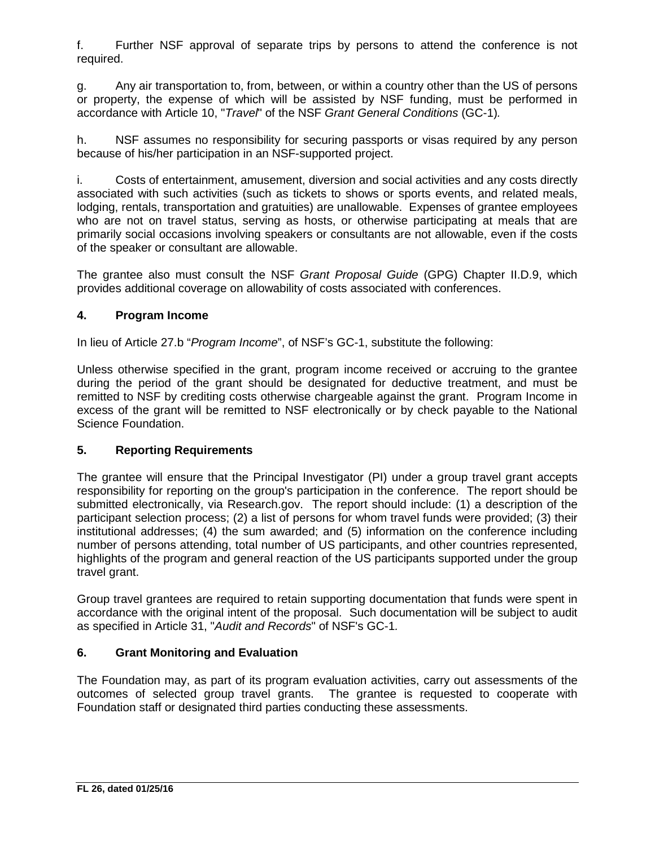f. Further NSF approval of separate trips by persons to attend the conference is not required.

g. Any air transportation to, from, between, or within a country other than the US of persons or property, the expense of which will be assisted by NSF funding, must be performed in accordance with Article 10, "*Travel*" of the NSF *Grant General Conditions* (GC-1)*.*

h. NSF assumes no responsibility for securing passports or visas required by any person because of his/her participation in an NSF-supported project.

i. Costs of entertainment, amusement, diversion and social activities and any costs directly associated with such activities (such as tickets to shows or sports events, and related meals, lodging, rentals, transportation and gratuities) are unallowable. Expenses of grantee employees who are not on travel status, serving as hosts, or otherwise participating at meals that are primarily social occasions involving speakers or consultants are not allowable, even if the costs of the speaker or consultant are allowable.

The grantee also must consult the NSF *Grant Proposal Guide* (GPG) Chapter II.D.9, which provides additional coverage on allowability of costs associated with conferences.

# **4. Program Income**

In lieu of Article 27.b "*Program Income*", of NSF's GC-1, substitute the following:

Unless otherwise specified in the grant, program income received or accruing to the grantee during the period of the grant should be designated for deductive treatment, and must be remitted to NSF by crediting costs otherwise chargeable against the grant. Program Income in excess of the grant will be remitted to NSF electronically or by check payable to the National Science Foundation.

### **5. Reporting Requirements**

The grantee will ensure that the Principal Investigator (PI) under a group travel grant accepts responsibility for reporting on the group's participation in the conference. The report should be submitted electronically, via Research.gov. The report should include: (1) a description of the participant selection process; (2) a list of persons for whom travel funds were provided; (3) their institutional addresses; (4) the sum awarded; and (5) information on the conference including number of persons attending, total number of US participants, and other countries represented, highlights of the program and general reaction of the US participants supported under the group travel grant.

Group travel grantees are required to retain supporting documentation that funds were spent in accordance with the original intent of the proposal. Such documentation will be subject to audit as specified in Article 31, "*Audit and Records*" of NSF's GC-1*.*

# **6. Grant Monitoring and Evaluation**

The Foundation may, as part of its program evaluation activities, carry out assessments of the outcomes of selected group travel grants. The grantee is requested to cooperate with Foundation staff or designated third parties conducting these assessments.